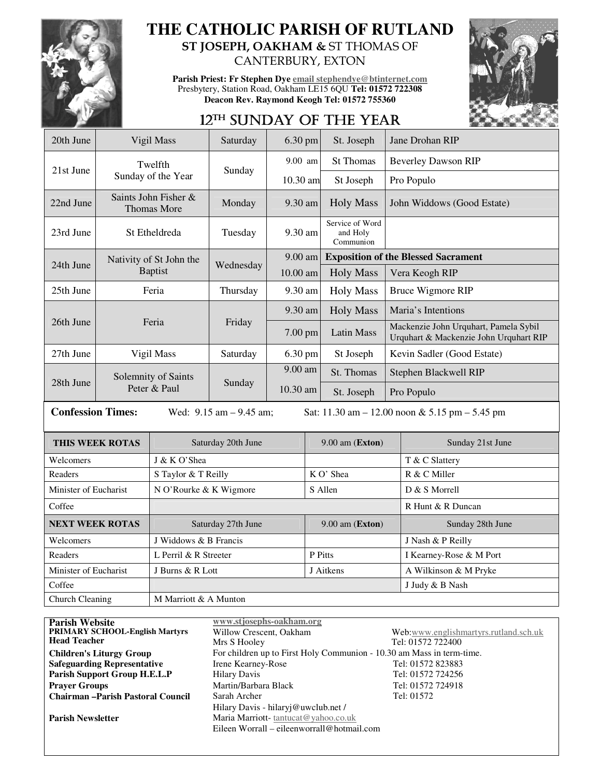

### **THE CATHOLIC PARISH OF RUTLAND ST JOSEPH, OAKHAM &** ST THOMAS OF

CANTERBURY, EXTON

**Parish Priest: Fr Stephen Dye email stephendye@btinternet.com** Presbytery, Station Road, Oakham LE15 6QU **Tel: 01572 722308 Deacon Rev. Raymond Keogh Tel: 01572 755360** 



## 12TH SUNDAY OF THE YEAR

| 20th June                                                                                                     |                                            | Vigil Mass                    | Saturday  | $6.30$ pm         |           | St. Joseph                               | Jane Drohan RIP                                                                 |                            |  |
|---------------------------------------------------------------------------------------------------------------|--------------------------------------------|-------------------------------|-----------|-------------------|-----------|------------------------------------------|---------------------------------------------------------------------------------|----------------------------|--|
| 21st June                                                                                                     |                                            | Twelfth<br>Sunday of the Year |           | $9.00$ am         |           | <b>St Thomas</b>                         |                                                                                 | <b>Beverley Dawson RIP</b> |  |
|                                                                                                               |                                            |                               | Sunday    | 10.30 am          |           | St Joseph                                |                                                                                 | Pro Populo                 |  |
| 22nd June                                                                                                     | Saints John Fisher &<br><b>Thomas More</b> |                               | Monday    | 9.30 am           |           | <b>Holy Mass</b>                         | John Widdows (Good Estate)                                                      |                            |  |
| 23rd June                                                                                                     | St Etheldreda                              |                               | Tuesday   | 9.30 am           |           | Service of Word<br>and Holy<br>Communion |                                                                                 |                            |  |
|                                                                                                               |                                            | Nativity of St John the       |           | $9.00$ am         |           |                                          | <b>Exposition of the Blessed Sacrament</b>                                      |                            |  |
| 24th June                                                                                                     | <b>Baptist</b>                             |                               | Wednesday | 10.00 am          |           | <b>Holy Mass</b>                         |                                                                                 | Vera Keogh RIP             |  |
| 25th June                                                                                                     | Feria                                      |                               | Thursday  | 9.30 am           |           | <b>Holy Mass</b>                         |                                                                                 | <b>Bruce Wigmore RIP</b>   |  |
| 26th June                                                                                                     | Feria                                      |                               | Friday    | 9.30 am           |           | <b>Holy Mass</b>                         |                                                                                 | Maria's Intentions         |  |
|                                                                                                               |                                            |                               |           | 7.00 pm           |           | <b>Latin Mass</b>                        | Mackenzie John Urquhart, Pamela Sybil<br>Urquhart & Mackenzie John Urquhart RIP |                            |  |
| 27th June                                                                                                     | Vigil Mass                                 |                               | Saturday  | 6.30 pm           |           | St Joseph                                |                                                                                 | Kevin Sadler (Good Estate) |  |
|                                                                                                               | Solemnity of Saints<br>Peter & Paul        |                               | Sunday    | 9.00 am           |           | St. Thomas                               | Stephen Blackwell RIP                                                           |                            |  |
| 28th June                                                                                                     |                                            |                               |           | 10.30 am          |           | St. Joseph                               | Pro Populo                                                                      |                            |  |
| <b>Confession Times:</b><br>Wed: $9.15$ am $- 9.45$ am;<br>Sat: 11.30 am $- 12.00$ noon & 5.15 pm $- 5.45$ pm |                                            |                               |           |                   |           |                                          |                                                                                 |                            |  |
|                                                                                                               | <b>THIS WEEK ROTAS</b>                     | Saturday 20th June            |           | $9.00$ am (Exton) |           |                                          | Sunday 21st June                                                                |                            |  |
| Welcomers                                                                                                     |                                            | J & K O'Shea                  |           |                   |           |                                          |                                                                                 | T & C Slattery             |  |
| Readers                                                                                                       |                                            | S Taylor & T Reilly           |           |                   | K O' Shea |                                          |                                                                                 | R & C Miller               |  |
| Minister of Eucharist                                                                                         |                                            | N O'Rourke & K Wigmore        |           |                   | S Allen   |                                          |                                                                                 | D & S Morrell              |  |
| Coffee                                                                                                        |                                            |                               |           |                   |           |                                          |                                                                                 | R Hunt & R Duncan          |  |

| Readers                                  | L Perril & R Streeter |                                                                       | P Pitts                             | I Kearney-Rose & M Port               |  |  |  |
|------------------------------------------|-----------------------|-----------------------------------------------------------------------|-------------------------------------|---------------------------------------|--|--|--|
| Minister of Eucharist                    | J Burns & R Lott      |                                                                       | J Aitkens                           | A Wilkinson & M Pryke                 |  |  |  |
| Coffee                                   |                       |                                                                       |                                     | J Judy & B Nash                       |  |  |  |
| Church Cleaning<br>M Marriott & A Munton |                       |                                                                       |                                     |                                       |  |  |  |
|                                          |                       |                                                                       |                                     |                                       |  |  |  |
| <b>Parish Website</b>                    |                       | www.stjosephs-oakham.org                                              |                                     |                                       |  |  |  |
| <b>PRIMARY SCHOOL-English Martyrs</b>    |                       | Willow Crescent, Oakham                                               |                                     | Web:www.englishmartyrs.rutland.sch.uk |  |  |  |
| <b>Head Teacher</b>                      |                       | Mrs S Hooley                                                          |                                     | Tel: 01572 722400                     |  |  |  |
| <b>Children's Liturgy Group</b>          |                       | For children up to First Holy Communion - 10.30 am Mass in term-time. |                                     |                                       |  |  |  |
| <b>Safeguarding Representative</b>       |                       | Irene Kearney-Rose                                                    |                                     | Tel: 01572 823883                     |  |  |  |
| Parish Support Group H.E.L.P             |                       | <b>Hilary Davis</b>                                                   |                                     | Tel: 01572 724256                     |  |  |  |
| <b>Praver Groups</b>                     |                       | Martin/Barbara Black                                                  |                                     | Tel: 01572 724918                     |  |  |  |
| <b>Chairman-Parish Pastoral Council</b>  |                       | Sarah Archer                                                          |                                     | Tel: 01572                            |  |  |  |
|                                          |                       |                                                                       | Hilary Davis - hilaryj@uwclub.net / |                                       |  |  |  |
| <b>Parish Newsletter</b>                 |                       | Maria Marriott-tantucat@yahoo.co.uk                                   |                                     |                                       |  |  |  |

Eileen Worrall – eileenworrall@hotmail.com

**NEXT WEEK ROTAS** Saturday 27th June 9.00 am (**Exton**) Sunday 28th June

Welcomers J Widdows & B Francis J Nash & P Reilly